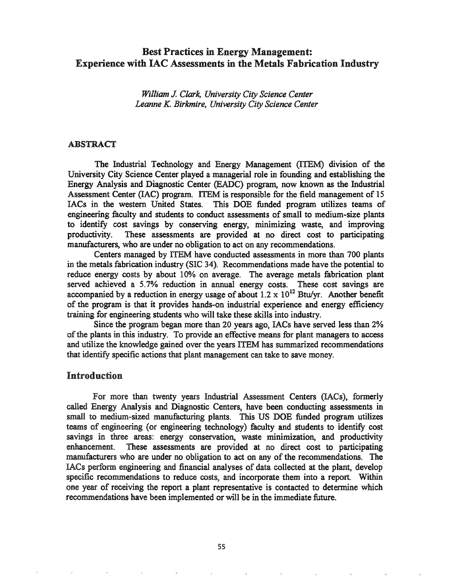# Best Practices in Energy Management: Experience with lAC Assessments in the Metals Fabrication Industry

*William* J. *Clark, University City Science Center Leanne K. Birkmire, University City Science Center*

#### ABSTRACT

The Industrial Technology and Energy Management (ITEM) division of the University City Science Center played a managerial role in founding and establishing the Energy Analysis and Diagnostic Center (BADe) program, now known as the Industrial Assessment Center (lAC) program. ITEM is responsible for the field management of 15 lACs in the western United States. This DOE funded program utilizes teams of engineering faculty and students to conduct assessments of small to medium-size plants to identify cost savings by conserving energy, minimizing waste, and improving productivity. These assessments are provided at no direct cost to participating manufacturers, who are under no obligation to act on any recommendations.

Centers managed. by ITEM have conducted assessments in more than 700 plants in the metals fabrication industry (SIC 34). Recommendations made have the potential to reduce energy costs by about 10% on average. The average metals fabrication plant served achieved a 5.7% reduction in annual energy costs. These cost savings are accompanied by a reduction in energy usage of about 1.2  $\times$  10<sup>12</sup> Btu/yr. Another benefit of the program is that it provides hands-on industrial experience and energy efficiency training for engineering students who will take these skills into industry.

Since the program began more than 20 years ago, lACs have served less than 2% of the plants in this industry. To provide an effective means for plant managers to access and utilize the knowledge gained over the years ITEM has summarized recommendations that identify specific actions that plant management can take to save money.

### Introduction

For more than twenty years Industrial Assessment Centers (lACs), fonnerly called Energy Analysis and Diagnostic Centers, have been conducting assessments in small to medium-sized manufacturing plants. This US DOE funded program utilizes teams of engineering (or engineering technology) faculty and students to identify cost savings in three areas: energy conservation, waste minimization, and productivity enhancement. These assessments are provided at no direct cost to participating manufacturers who are under no obligation to act on any of the recommendations. The LACs perform engineering and financial analyses of data collected at the plant, develop specific recommendations to reduce costs, and incorporate them into a report. Within one year of receiving the report a plant representative is contacted to determine which recommendations have been implemented or will be in the immediate future.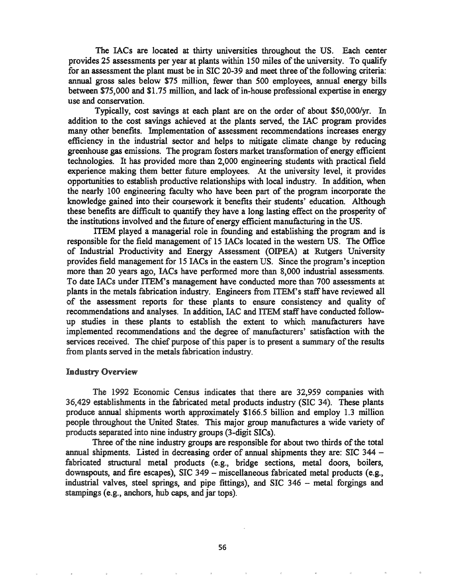The lACs are located at thirty universities throughout the US. Each center provides 25 assessments per year at plants within 150 miles of the university. To qualify for an assessment the plant must be in SIC 20-39 and meet three of the following criteria: annual gross sales below \$75 million, fewer than 500 employees, annual energy bills between \$75,000 and \$1.75 million, and lack of in-house professional expertise in energy use and conservation.

Typically, cost savings at each plant are on the order of about *SSO,OOO/yr.* In addition to the cost savings achieved at the plants served, the lAC program provides many other benefits. Implementation of assessment recommendations increases energy efficiency in the industrial sector and helps to mitigate climate change by reducing greenhouse gas emissions. The program fosters market transformation of energy efficient technologies. It has provided more than 2,000 engineering students with practical field experience making them better future employees. At the university level, it provides opportunities to establish productive relationships with local industry. In addition, when the nearly 100 engineering faculty who have been part of the program incorporate the knowledge gained into their coursework it benefits their students' education. Although these benefits are difficult to quantify they have a long lasting effect on the prosperity of the institutions involved and the future of energy efficient manufacturing in the US.

ITEM played a managerial role in founding and establishing the program and is responsible for the field management of IS lACs located in the western US. The Office of Industrial Productivity and Energy Assessment (OIPEA) at Rutgers University provides field management for 15 lACs in the eastern US. Since the program's inception more than 20 years ago, lACs have performed more than 8,000 industrial assessments. To date lACs under ITEM's management have conducted more than 700 assessments at plants in the metals fabrication industry. Engineers from ITEM's staff have reviewed all of the assessment reports for these plants to ensure consistency and quality of recommendations and analyses. In addition, lAC and ITEM staff have conducted followup studies in these plants to establish the extent to which manufacturers have implemented recommendations and the degree of manufacturers' satisfaction with the services received. The chief purpose of this paper is to present a summary of the results from plants served in the metals fabrication industry.

#### Industry Overview

The 1992 Economic Census indicates that there are 32,959 companies with 36,429 establishments in the fabricated metal products industry (SIC 34). These plants produce annual shipments worth approximately \$166.5 billion and employ 1.3 million people throughout the United States. This major group manufactures a wide variety of products separated into nine industry groups (3-digit SICs).

Three of the nine industry groups are responsible for about two thirds of the total annual shipments. Listed in decreasing order of annual shipments they are: SIC 344 fabricated structural metal products (e.g., bridge sections, metal doors, boilers, downspouts, and fire escapes), SIC 349 - miscellaneous fabricated metal products (e.g., industrial valves, steel springs, and pipe fittings), and SIC 346 - metal forgings and stampings (e.g., anchors, hub caps, and jar tops).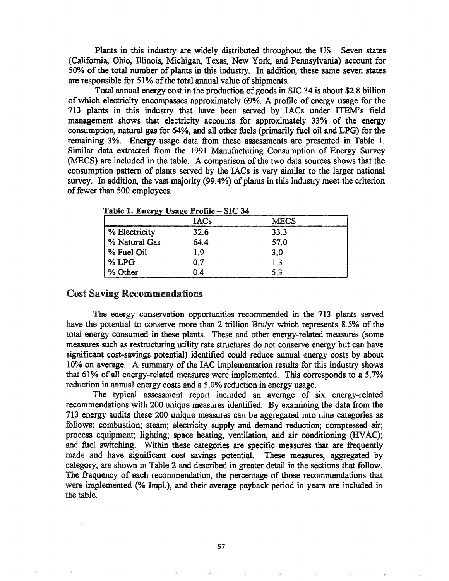Plants in this industry are widely distributed throughout the US. Seven states (California, Ohio, Illinois, Michigan, Texas, New York, and Pennsylvania) account for 50% of the total number of plants in this industry. In addition, these same seven states are responsible for 51% of the total annual value of shipments.

Total annual energy cost in the production of goods in SIC 34 is about \$2.8 billion of which electricity encompasses approximately 69%. A profile of energy usage for the 713 plants in this industry that have been served by lACs under ITEM's field management shows that electricity accounts for approximately 33% of the energy consumption, natural gas for 64%, and all other fuels (primarily fuel oil and LPG) for the remaining 3%. Energy usage data from these assessments are presented in Table 1. Similar data extracted from the 1991 Manufacturing Consumption of Energy Survey (MECS) are included in the table. A comparison of the two data sources shows that the consumption pattern of plants served by the lACs is very similar to the larger national survey. In addition, the vast majority (99.4%) of plants in this industry meet the criterion of fewer than 500 employees.

|               | <b>IACs</b> | MECS |
|---------------|-------------|------|
| % Electricity | 32.6        | 33.3 |
| % Natural Gas | 64.4        | 57.0 |
| % Fuel Oil    | 19          | 3.0  |
| $%$ LPG       | 07          | າ ຈ  |
| % Other       | 04          | 5.3  |

Table 1 Energy Hsage Profile - SIC 34

### **Cost Saving Recommendations**

The energy conservation opportunities recommended in the 713 plants served have the potential to conserve more than 2 trillion Btu/yr which represents 8.5% of the total energy consumed in these plants. These and other energy-related measures (some measures such as restructuring utility rate structures do not conserve energy but can have significant cost-savings potential) identified could reduce annual energy costs by about 10% on average. A summary of the IAC implementation results for this industry shows that 61% of all energy-related measures were implemented. This corresponds to a 5.7% reduction in annual energy costs and a 5.0% reduction in energy usage.

The typical assessment report included an average of six energy-related recommendations with 200 unique measures identified. By examining the data from the 713 energy audits these 200 unique measures can be aggregated into nine categories as follows: combustion; steam; electricity supply and demand reduction; compressed air; process equipment; lighting; space heating, ventilation, and air conditioning (HVAC); and fuel switching. Within these categories are specific measures that are frequently made and have significant cost savings potential. These measures, aggregated by category, are shown in Table 2 and described in greater detail in the sections that follow. The frequency of each recommendation, the percentage of those recommendations that were implemented (% Impl.), and their average payback period in years are included in the table.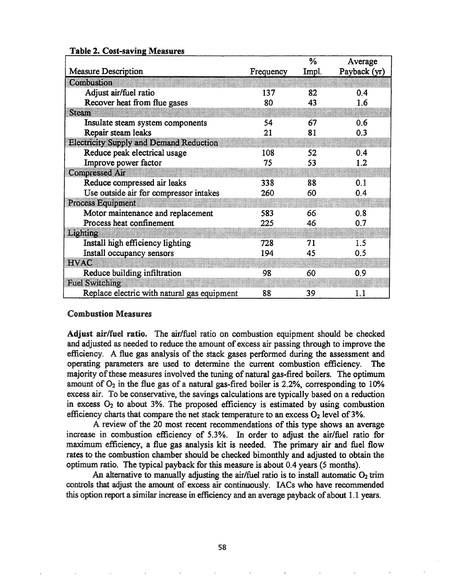|                                             |           | $\%$  | Average      |
|---------------------------------------------|-----------|-------|--------------|
| <b>Measure Description</b>                  | Frequency | Impl. | Payback (yr) |
| Combusion                                   |           |       |              |
| Adjust air/fuel ratio                       | 137       | 82    | 0.4          |
| Recover heat from flue gases                | 80        | 43    | 1.6          |
| Steam                                       |           |       |              |
| Insulate steam system components            | 54        | 67    | 0.6          |
| Repair steam leaks                          | 21        | 81    | 0.3          |
| Electricity Supply and Demand Reduction     |           |       |              |
| Reduce peak electrical usage                | 108       | 52    | 0.4          |
| Improve power factor                        | 75        | 53    | 1.2          |
| Compressed Air                              |           |       |              |
| Reduce compressed air leaks                 | 338       | 88    | 0.1          |
| Use outside air for compressor intakes      | 260       | 60    | 0.4          |
| <b>Process Equipment</b>                    |           |       |              |
| Motor maintenance and replacement           | 583       | 66    | 0.8          |
| Process heat confinement                    | 225       | 46    | 0.7          |
| Luphilop                                    |           |       |              |
| Install high efficiency lighting            | 728       | 71    | 1.5          |
| Install occupancy sensors                   | 194       | 45    | 0.5          |
| ewxe                                        |           |       |              |
| Reduce building infiltration                | 98        | 60    | 0.9          |
| <b>Fuel Switching</b>                       |           |       |              |
| Replace electric with natural gas equipment | 88        | 39    | 1.1          |

## Table 2. Cost-saving Measures

### Combustion Measures

Adjust air/fuel ratio. The air/fuel ratio on combustion equipment should be checked and adjusted as needed to reduce the amount of excess air passing through to improve the efficiency. A flue gas analysis of the stack gases performed during the assessment and operating parameters are used to determine the current combustion efficiency. The majority of these measures involved the tuning of natural gas-fired boilers. The optimum amount of  $O_2$  in the flue gas of a natural gas-fired boiler is 2.2%, corresponding to 10% excess air. To be conservative, the savings calculations are typically based on a reduction in excess  $O_2$  to about 3%. The proposed efficiency is estimated by using combustion efficiency charts that compare the net stack temperature to an excess  $O_2$  level of 3%.

A review of the 20 most recent recommendations of this type shows an average increase in combustion efficiency of 5.3%. In order to adjust the air/fuel ratio for maximum efficiency, a flue gas analysis kit is needed. The primary air and fuel flow rates to the combustion chamber should be checked bimonthly and adjusted to obtain the optimum ratio. The typical payback for this measure is about  $0.4$  years (5 months).

An alternative to manually adjusting the air/fuel ratio is to install automatic  $O_2$  trim controls that adjust the amount of excess air continuously. lACs who have recommended this option report a similar increase in efficiency and an average payback of about 1.1 years.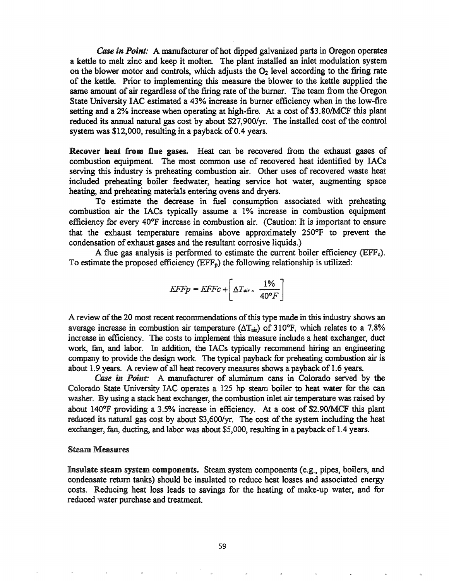*Case in Point:* A manufacturer of hot dipped galvanized parts in Oregon operates a kettle to melt zinc and keep it molten. The plant installed an inlet modulation system on the blower motor and controls, which adjusts the  $O_2$  level according to the firing rate of the kettle. Prior to implementing this measure the blower to the kettle supplied the same amount of air regardless of the firing rate of the burner. The team from the Oregon State University lAC estimated a 43% increase in burner efficiency when in the low-fire setting and a 2% increase when operating at high-fire. At a cost of \$3.80/MCF this plant reduced its annual natural gas cost by about \$27,900/yr. The installed cost of the control system was  $$12,000$ , resulting in a payback of 0.4 years.

Recover heat from flue gases. Heat can be recovered from the exhaust gases of combustion equipment. The most common use of recovered heat identified by lACs serving this industry is preheating combustion air. Other uses of recovered waste heat included preheating boiler feedwater, heating service hot water, augmenting space heating, and preheating materials entering ovens and dryers.

To estimate the decrease in fuel consumption associated with preheating combustion air the IACs typically assume a 1% increase in combustion equipment efficiency for every 40°F increase in combustion air. (Caution: It is important to ensure that the exhaust temperature remains above approximately 250°F to prevent the condensation of exhaust gases and the resultant corrosive liquids.)

A flue gas analysis is performed to estimate the current boiler efficiency ( $EFF<sub>c</sub>$ ). To estimate the proposed efficiency  $(EFF_p)$  the following relationship is utilized:

$$
EFFp = EFFc + \left[\Delta T_{\text{air}} \times \frac{1\%}{40^{\circ}F}\right]
$$

A review of the 20 most recent recommendations of this type made in this industry shows an average increase in combustion air temperature ( $\Delta T_{air}$ ) of 310°F, which relates to a 7.8% increase in efficiency. The costs to implement this measure include a heat exchanger, duct work, fan, and labor. In addition, the IACs typically recommend hiring an engineering company to provide the design work. The typical payback for preheating combustion air is about 1.9 years. A review of all heat recovery measures shows a payback of 1.6 years.

*Case in Point:* A manufacturer of aluminum cans in Colorado served by the Colorado State University IAC operates a 125 hp steam boiler to heat water for the can washer. By using a stack heat exchanger, the combustion inlet air temperature was raised by 140°F providing a 3.5% increase in efficiency. At a cost of S2.901MCF this plant reduced its natural gas cost by about \$3,600/yr. The cost of the system including the heat exchanger, fan, ducting, and labor was about \$5,000, resulting in a payback of 1.4 years.

#### Steam Measures

Insulate steam system components. Steam system components (e.g., pipes, boilers, and condensate return tanks) should be insulated to reduce heat losses and associated energy costs. Reducing heat loss leads to savings for the heating of make-up water, and for reduced water purchase and treatment.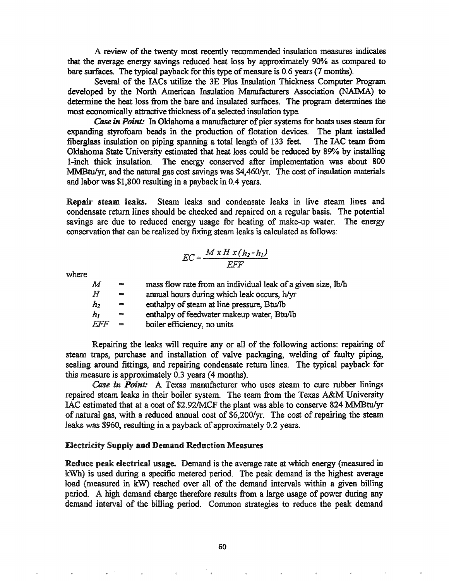A review of the twenty most recently recommended insulation measures indicates that the average energy savings reduced heat loss by approximately 90% as compared to bare surfaces. The typical payback for this type of measure is 0.6 years (7 months).

Several of the lACs utilize the 3E Plus Insulation Thickness Computer Program developed by the North American Insulation Manufacturers Association (NAIMA) to determine the heat loss from the bare and insulated surfaces. The program determines the most economically attractive thickness of a selected insulation type.

Case in Point: In Oklahoma a manufacturer of pier systems for boats uses steam for expanding styrofoam beads in the production of flotation devices. The plant installed fiberglass insulation on piping spanning a total length of 133 feet. The lAC team from Oklahoma State University estimated that heat loss could be reduced by 89% by installing I-inch thick insulation. The energy conserved after implementation was about 800 MMBtu/yr, and the natural gas cost savings was \$4,460/yr. The cost of insulation materials and labor was \$1,800 resulting in a payback in 0.4 years.

Repair steam leaks. Steam leaks and condensate leaks in live steam lines and condensate return lines should be checked and repaired on a regular basis. The potential savings are due to reduced energy usage for heating of make-up water. The energy conservation that can be realized by fixing steam leaks is calculated as follows:

$$
EC = \frac{M x H x (h_2 - h_1)}{EFF}
$$

where

| $\bm{M}$       | $=$      | mass flow rate from an individual leak of a given size, lb/h |
|----------------|----------|--------------------------------------------------------------|
| H              | $=$      | annual hours during which leak occurs, h/yr                  |
| h <sub>2</sub> | $=$      | enthalpy of steam at line pressure, Btu/lb                   |
| h <sub>I</sub> | $\equiv$ | enthalpy of feedwater makeup water, Btu/lb                   |
| FFF            | $=$      | boiler efficiency, no units                                  |

Repairing the leaks will require any or all of the following actions: repairing of steam traps, purchase and installation of valve packaging, welding of faulty piping, sealing around fittings, and repairing condensate return lines. The typical payback for this measure is approximately 0.3 years (4 months).

*Case in Point:* A Texas manufacturer who uses steam to cure rubber linings repaired steam leaks in their boiler system. The team from the Texas A&M University IAC estimated that at a cost of \$2.92/MCF the plant was able to conserve 824 MMBtu/yr of natural gas, with a reduced annual cost of \$6,200/yr. The cost of repairing the steam leaks was \$960, resulting in a payback of approximately 0.2 years.

#### **Electricity Supply and Demand Reduction Measures**

Reduce peak electrical usage. Demand is the average rate at which energy (measured in kWh) is used during a specific metered period. The peak demand is the highest average load (measured in kW) reached over all of the demand intervals within a given billing period. A high demand charge therefore results from a large usage of power during any demand interval of the billing period. Common strategies to reduce the peak demand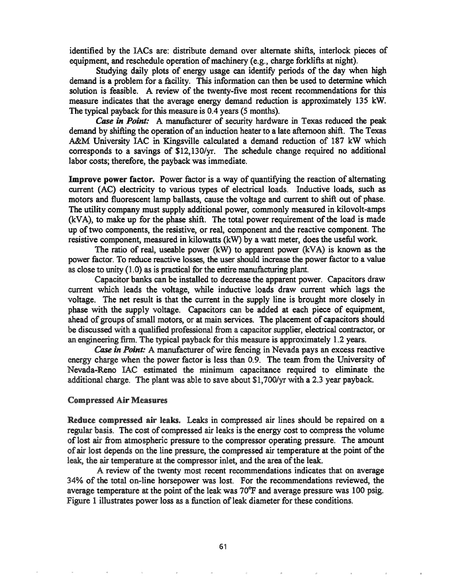identified by the lACs are: distribute demand over alternate shifts, interlock pieces of equipment, and reschedule operation of machinery (e.g., charge forklifts at night).

Studying daily plots of energy usage can identify periods of the day when high demand is a problem for a facility. This information can then be used to determine which solution is feasible. A review of the twenty-five most recent recommendations for this measure indicates that the average energy demand reduction is approximately 135 kW. The typical payback for this measure is 0.4 years (5 months).

*Case in Point:* A manufacturer of security hardware in Texas reduced the peak: demand by shifting the operation of an induction heater to a late afternoon shift. The Texas A&M University lAC in Kingsville calculated a demand reduction of 187 kW which corresponds to a savings of S12,130/yr. The schedule change required no additional labor costs; therefore, the payback was immediate.

Improve power factor. Power factor is a way of quantifying the reaction of alternating current (AC) electricity to various types of electrical loads. Inductive loads, such as motors and fluorescent lamp ballasts, cause the voltage and current to shift out of phase. The utility company must supply additional power, commonly measured in kilovolt-amps  $(kVA)$ , to make up for the phase shift. The total power requirement of the load is made up oftwo components, the resistive, or real, component and the reactive component. The resistive component, measured in kilowatts (kW) by a watt meter, does the useful work.

The ratio of real, useable power (kW) to apparent power (kVA) is known as the power factor. To reduce reactive losses, the user should increase the power factor to a value as close to unity (1.0) as is practical for the entire manufacturing plant.

Capacitor banks can be installed to decrease the apparent power. Capacitors draw current which leads the voltage, while inductive loads draw current which lags the voltage. The net result is that the current in the supply line is brought more closely in phase with the supply voltage. Capacitors can be added at each piece of equipment, ahead of groups of small motors, or at main services. The placement of capacitors should be discussed with a qualified professional from a capacitor supplier, electrical contractor, or an engineering firm. The typical payback for this measure is approximately  $1.2$  years.

Case in Point: A manufacturer of wire fencing in Nevada pays an excess reactive energy charge when the power factor is less than 0.9. The team from the University of Nevada-Reno lAC estimated the minimum capacitance required to eliminate the additional charge. The plant was able to save about Sl,700/yr with a 2.3 year payback.

#### **Compressed Air Measures**

Reduce compressed air leaks. Leaks in compressed air lines should be repaired on a regular basis. The cost of compressed air leaks is the energy cost to compress the volume of lost air from atmospheric pressure to the compressor operating pressure. The amount of air lost depends on the line pressure, the compressed air temperature at the point of the leak, the air temperature at the compressor inlet, and the area of the leak.

A review of the twenty most recent recommendations indicates that on average 34% of the total on-line horsepower was lost. For the recommendations reviewed, the average temperature at the point of the leak was  $70^{\circ}$ F and average pressure was 100 psig. Figure 1 illustrates power loss as a function of leak diameter for these conditions.

61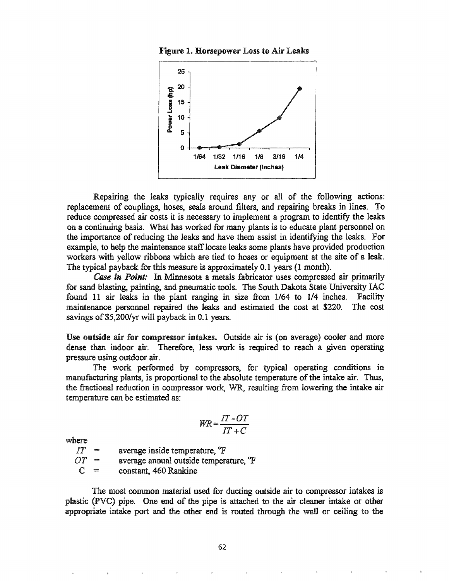Figure 1. Horsepower Loss to Air Lea



Repairing the leaks typically requires any or all of the following actions: replacement of couplings, hoses, seals around filters, and repairing breaks in lines. To reduce compressed air costs it is necessary to implement a program to identify the leaks on a continuing basis. What has worked for many plants is to educate plant personnel on the importance of reducing the leaks and have them assist in identifying the leaks. For example, to help the maintenance stafflocate leaks some plants have provided production workers with yellow ribbons which are tied to hoses or equipment at the site of a leak. The typical payback for this measure is approximately 0.1 years (1 month).

*Case in Point:* In Minnesota a metals fabricator uses compressed air primarily for sand blasting, painting, and pneumatic tools. The South Dakota State University lAC found 11 air leaks in the plant ranging in size from 1/64 to 1/4 inches. Facility maintenance personnel repaired the leaks and estimated the cost at \$220. The cost savings of \$5,200/yr will payback in 0.1 years.

Use outside air for compressor intakes. Outside air is (on average) cooler and more dense than indoor air. Therefore, less work is required to reach a given operating pressure using outdoor air.

The work performed by compressors, for typical operating conditions in manufacturing plants, is proportional to the absolute temperature of the intake air. Thus, the fractional reduction in compressor work, WR, resulting from lowering the intake air temperature can be estimated as:

$$
WR = \frac{IT - OT}{IT + C}
$$

where

 $IT$  = average inside temperature, <sup>o</sup>F

 $OT =$ average annual outside temperature, <sup>o</sup>F

 $C =$ constant, 460 Rankine

The most common material used for ducting outside air to compressor intakes is plastic (PVC) pipe. One end of the pipe is attached to the air cleaner intake or other appropriate intake port and the other end is routed through the wall or ceiling to the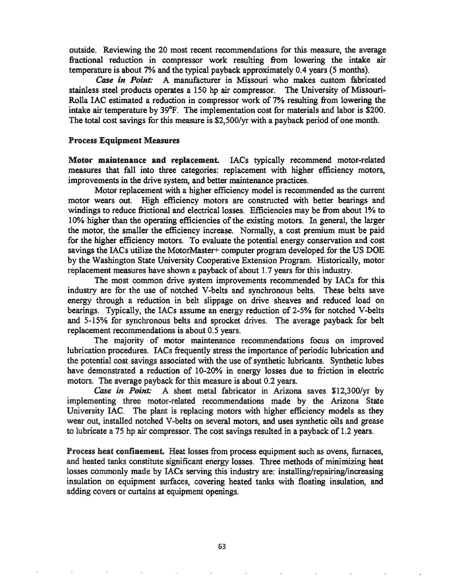outside. Reviewing the 20 most recent recommendations for this measure, the average fractional reduction in compressor work resulting from lowering the intake air temperature is about 7% and the typical payback approximately 0.4 years (5 months).

*Case in Point:* A manufacturer in Missouri who makes custom fabricated stainless steel products operates a 150 hp air compressor. The University of Missouri-Rolla lAC estimated a reduction in compressor work of 7% resulting from lowering the intake air temperature by 39°F. The implementation cost for materials and labor is \$200. The total cost savings for this measure is \$2,500/yr with a payback period of one month.

#### Process Equipment Measures

Motor maintenance and replacement. IACs typically recommend motor-related measures that fall into three categories: replacement with higher efficiency motors, improvements in the drive system, and better maintenance practices.

Motor replacement with a higher efficiency model is recommended as the current motor wears out. High efficiency motors are constructed with better bearings and windings to reduce frictional and electrical losses. Efficiencies may be from about 1% to 10% higher than the operating efficiencies of the existing motors. In general, the larger the motor, the smaller the efficiency increase. Normally, a cost premium must be paid for the higher efficiency motors. To evaluate the potential energy conservation and cost savings the IACs utilize the MotorMaster+ computer program developed for the US DOE by the Washington State University Cooperative Extension Program. Historically, motor replacement measures have shown a payback of about 1.7 years for this industry.

The most common drive system improvements recommended by lACs for this industry are for the use of notched V-belts and synchronous belts. These belts save energy through a reduction in belt slippage on drive sheaves and reduced load on bearings. Typically, the IACs assume an energy reduction of 2-5% for notched V-belts and 5-15% for synchronous belts and sprocket drives. The average payback for belt replacement recommendations is about 0.5 years.

The majority of motor maintenance recommendations focus on improved lubrication procedures. IACs frequently stress the importance of periodic lubrication and the potential cost savings associated with the use of synthetic lubricants. Synthetic lubes have demonstrated a reduction of 10-20% in energy losses due to friction in electric motors. The average payback for this measure is about 0.2 years.

*Case in Point:* A sheet metal fabricator in Arizona saves \$12,300/yr by implementing three motor-related recommendations made by the Arizona State University IAC. The plant is replacing motors with higher efficiency models as they wear out, installed notched V-belts on several motors, and uses synthetic oils and grease to lubricate a 75 hp air compressor. The cost savings resulted in a payback of 1.2 years.

Process heat confinement. Heat losses from process equipment such as ovens, furnaces, and heated tanks constitute significant energy losses. Three methods of minimizing heat losses commonly made by IACs serving this industry are: installing/repairing/increasing insulation on equipment surfaces, covering heated tanks with floating insulation, and adding covers or curtains at equipment openings.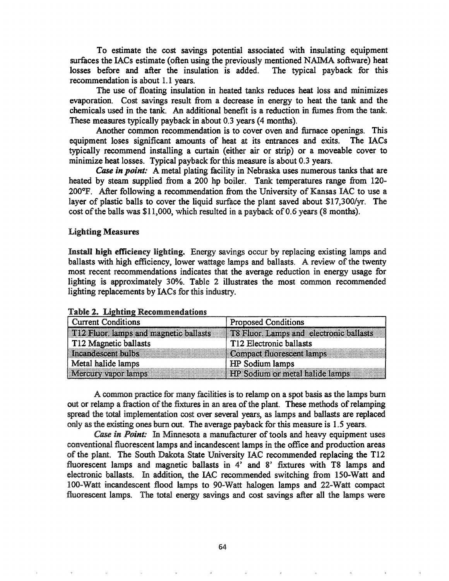To estimate the cost savings potential associated with insulating equipment surfaces the IACs estimate (often using the previously mentioned NAIMA software) heat losses before and after the insulation is added. The typical payback for this recommendation is about 1.1 years.

The use of floating insulation in heated tanks reduces heat loss and minimizes evaporation. Cost savings result from a decrease in energy to heat the tank and the chemicals used in the tank. An additional benefit is a reduction in fumes from the tank. These measures typically payback in about 0.3 years (4 months).

Another common recommendation is to cover oven and furnace openings. This equipment loses significant amounts of heat at its entrances and exits. The IACs typically recommend installing a curtain (either air or strip) or a moveable cover to minimize heat losses. Typical payback for this measure is about 0.3 years.

**Case in point:** A metal plating facility in Nebraska uses numerous tanks that are heated by steam supplied from a 200 hp boiler. Tank temperatures range from 120-200°F. After following a recommendation from the University of Kansas IAC to use a layer of plastic balls to cover the liquid surface the plant saved about S17,300/yr. The cost of the balls was  $$11,000$ , which resulted in a payback of 0.6 years (8 months).

#### Lighting Measures

Install high efficiency lighting. Energy savings occur by replacing existing lamps and ballasts with high efficiency, lower wattage lamps and ballasts. A review of the twenty most recent recommendations indicates that the average reduction in energy usage for lighting is approximately 30%. Table 2 illustrates the most common recommended lighting replacements by IACs for this industry.

| <b>Current Conditions</b>                    | <b>Proposed Conditions</b>              |
|----------------------------------------------|-----------------------------------------|
| <b>T12</b> Fluor lamps and magnetic ballasts | T8 Fluor. Lamps and electronic ballasts |
| T12 Magnetic ballasts                        | T12 Electronic ballasts                 |
| Incandescent bulbs                           | Compact fluorescent lamps               |
| Metal halide lamps                           | HP Sodium lamps                         |
| <b>Mercury vapor lamps</b>                   | <b>HP</b> Sodium or metal halide lamps  |

Table 2. Lighting Recommendations

A common practice for many facilities is to relamp on a spot basis as the lamps bwn out or relamp a fraction of the fixtures in an area of the plant. These methods of relamping spread the total implementation cost over several years, as lamps and ballasts are replaced only as the existing ones bwn out. The average payback for this measure is 1.5 years.

*Case in Point*: In Minnesota a manufacturer of tools and heavy equipment uses conventional fluorescent lamps and incandescent lamps in the office and production areas of the plant. The South Dakota State University IAC recommended replacing the T12 fluorescent lamps and magnetic ballasts in 4' and 8' fixtures with T8 lamps and electronic ballasts. In addition, the IAC recommended switching from ISO-Watt and 100-Watt incandescent flood lamps to 90-Watt halogen lamps and 22-Watt compact fluorescent lamps. The total energy savings and cost savings after all the lamps were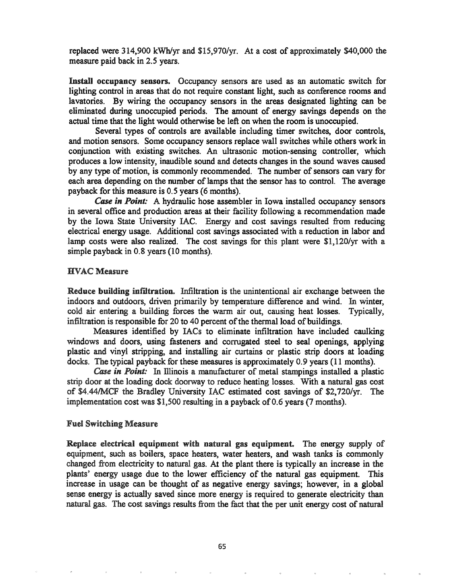replaced were 314,900 kWh/yr and SI5,970/yr. At a cost of approximately \$40,000 the measure paid back in 2.5 years.

Install occupancy sensors. Occupancy sensors are used as an automatic switch for lighting control in areas that do not require constant light, such as conference rooms and lavatories. By wiring the occupancy sensors in the areas designated lighting can be eliminated during unoccupied periods. The amount of energy savings depends on the actual time that the light would otherwise be left on when the room is unoccupied.

Several types of controls are available including timer switches, door controls, and motion sensors. Some occupancy sensors replace wall switches while others work in conjunction with existing switches. An ultrasonic motion-sensing controller, which produces a low intensity, inaudible sound and detects changes in the sound waves caused by any type of motion, is commonly recommended. The number of sensors can vary for each area depending on the number of lamps that the sensor has to control. The average payback for this measure is 0.5 years (6 months).

*Case in Point:* A hydraulic hose assembler in Iowa installed occupancy sensors in several office and production areas at their facility following a recommendation made by the Iowa State University lAC. Energy and cost savings resulted from reducing electrical energy usage. Additional cost savings associated with a reduction in labor and lamp costs were also realized. The cost savings for this plant were Sl,120/yr with a simple payback in 0.8 years (10 months).

#### HVAC Measure

Reduce building infiltration. Infiltration is the unintentional air exchange between the indoors and outdoors, driven primarily by temperature difference and wind. In winter, cold air entering a building forces the warm air out, causing heat losses. Typically, infiltration is responsible for 20 to 40 percent of the thermal load of buildings.

Measures identified by lACs to eliminate infiltration have included caulking windows and doors, using fasteners and corrugated steel to seal openings, applying plastic and vinyl stripping, and installing air curtains or plastic strip doors at loading docks. The typical payback for these measures is approximately 0.9 years (11 months).

*Case in Point:* In Illinois a manufacturer of metal stampings installed a plastic strip door at the loading dock doorway to reduce heating losses. With a natural gas cost of \$4.44/MCF the Bradley University lAC estimated cost savings of \$2,720/yr. The implementation cost was  $$1,500$  resulting in a payback of 0.6 years (7 months).

#### Fuel Switching Measure

Replace electrical equipment with natural gas equipment. The energy supply of equipment, such as boilers, space heaters, water heaters, and wash tanks is commonly changed from electricity to natural gas. At the plant there is typically an increase in the plants' energy usage due to the lower efficiency of the natural gas equipment. This increase in usage can be thought of as negative energy savings; however, in a global sense energy is actually saved since more energy is required to generate electricity than natural gas. The cost savings results from the fact that the per unit energy cost of natural